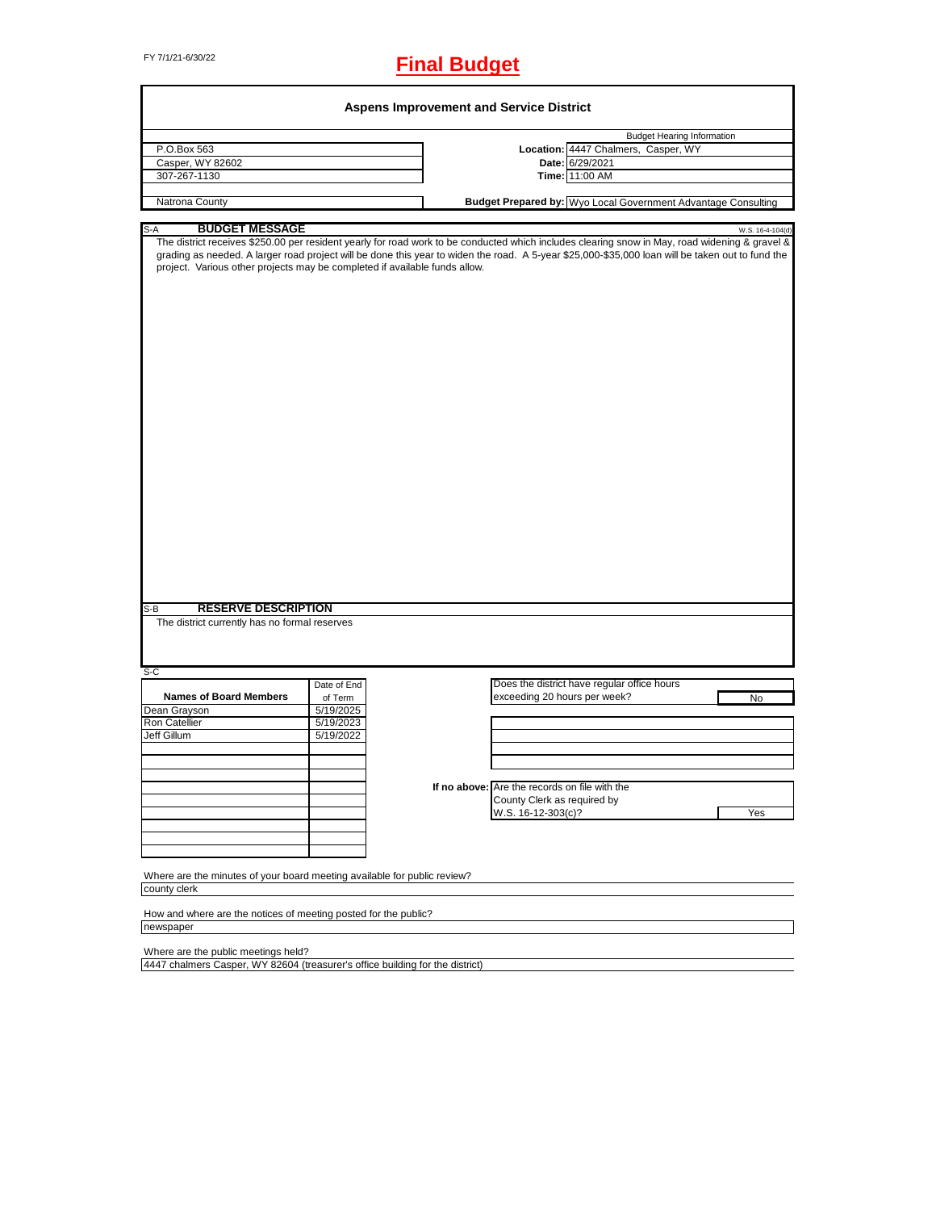# FY 7/1/21-6/30/22 **Final Budget**

| Location: 4447 Chalmers, Casper, WY<br>Casper, WY 82602<br>Date: 6/29/2021<br>307-267-1130<br>Time: 11:00 AM<br><b>Budget Prepared by:</b> Wyo Local Government Advantage Consulting<br><b>BUDGET MESSAGE</b><br>S-A<br>W.S. 16-4-104(d)<br>The district receives \$250.00 per resident yearly for road work to be conducted which includes clearing snow in May, road widening & gravel &<br>grading as needed. A larger road project will be done this year to widen the road. A 5-year \$25,000-\$35,000 loan will be taken out to fund the<br>project. Various other projects may be completed if available funds allow.<br><b>RESERVE DESCRIPTION</b><br>The district currently has no formal reserves<br>Does the district have regular office hours<br>Date of End<br><b>Names of Board Members</b><br>exceeding 20 hours per week?<br>of Term<br>No<br>5/19/2025<br>5/19/2023<br>5/19/2022<br>If no above: Are the records on file with the<br>County Clerk as required by<br>W.S. 16-12-303(c)?<br>Yes<br>Where are the minutes of your board meeting available for public review?<br>How and where are the notices of meeting posted for the public? | P.O.Box 563                                                  |  | <b>Budget Hearing Information</b> |
|----------------------------------------------------------------------------------------------------------------------------------------------------------------------------------------------------------------------------------------------------------------------------------------------------------------------------------------------------------------------------------------------------------------------------------------------------------------------------------------------------------------------------------------------------------------------------------------------------------------------------------------------------------------------------------------------------------------------------------------------------------------------------------------------------------------------------------------------------------------------------------------------------------------------------------------------------------------------------------------------------------------------------------------------------------------------------------------------------------------------------------------------------------------|--------------------------------------------------------------|--|-----------------------------------|
|                                                                                                                                                                                                                                                                                                                                                                                                                                                                                                                                                                                                                                                                                                                                                                                                                                                                                                                                                                                                                                                                                                                                                                |                                                              |  |                                   |
|                                                                                                                                                                                                                                                                                                                                                                                                                                                                                                                                                                                                                                                                                                                                                                                                                                                                                                                                                                                                                                                                                                                                                                |                                                              |  |                                   |
|                                                                                                                                                                                                                                                                                                                                                                                                                                                                                                                                                                                                                                                                                                                                                                                                                                                                                                                                                                                                                                                                                                                                                                |                                                              |  |                                   |
|                                                                                                                                                                                                                                                                                                                                                                                                                                                                                                                                                                                                                                                                                                                                                                                                                                                                                                                                                                                                                                                                                                                                                                | Natrona County                                               |  |                                   |
|                                                                                                                                                                                                                                                                                                                                                                                                                                                                                                                                                                                                                                                                                                                                                                                                                                                                                                                                                                                                                                                                                                                                                                |                                                              |  |                                   |
|                                                                                                                                                                                                                                                                                                                                                                                                                                                                                                                                                                                                                                                                                                                                                                                                                                                                                                                                                                                                                                                                                                                                                                |                                                              |  |                                   |
|                                                                                                                                                                                                                                                                                                                                                                                                                                                                                                                                                                                                                                                                                                                                                                                                                                                                                                                                                                                                                                                                                                                                                                |                                                              |  |                                   |
|                                                                                                                                                                                                                                                                                                                                                                                                                                                                                                                                                                                                                                                                                                                                                                                                                                                                                                                                                                                                                                                                                                                                                                |                                                              |  |                                   |
|                                                                                                                                                                                                                                                                                                                                                                                                                                                                                                                                                                                                                                                                                                                                                                                                                                                                                                                                                                                                                                                                                                                                                                |                                                              |  |                                   |
|                                                                                                                                                                                                                                                                                                                                                                                                                                                                                                                                                                                                                                                                                                                                                                                                                                                                                                                                                                                                                                                                                                                                                                |                                                              |  |                                   |
|                                                                                                                                                                                                                                                                                                                                                                                                                                                                                                                                                                                                                                                                                                                                                                                                                                                                                                                                                                                                                                                                                                                                                                |                                                              |  |                                   |
|                                                                                                                                                                                                                                                                                                                                                                                                                                                                                                                                                                                                                                                                                                                                                                                                                                                                                                                                                                                                                                                                                                                                                                |                                                              |  |                                   |
|                                                                                                                                                                                                                                                                                                                                                                                                                                                                                                                                                                                                                                                                                                                                                                                                                                                                                                                                                                                                                                                                                                                                                                |                                                              |  |                                   |
|                                                                                                                                                                                                                                                                                                                                                                                                                                                                                                                                                                                                                                                                                                                                                                                                                                                                                                                                                                                                                                                                                                                                                                |                                                              |  |                                   |
|                                                                                                                                                                                                                                                                                                                                                                                                                                                                                                                                                                                                                                                                                                                                                                                                                                                                                                                                                                                                                                                                                                                                                                |                                                              |  |                                   |
|                                                                                                                                                                                                                                                                                                                                                                                                                                                                                                                                                                                                                                                                                                                                                                                                                                                                                                                                                                                                                                                                                                                                                                |                                                              |  |                                   |
|                                                                                                                                                                                                                                                                                                                                                                                                                                                                                                                                                                                                                                                                                                                                                                                                                                                                                                                                                                                                                                                                                                                                                                |                                                              |  |                                   |
|                                                                                                                                                                                                                                                                                                                                                                                                                                                                                                                                                                                                                                                                                                                                                                                                                                                                                                                                                                                                                                                                                                                                                                |                                                              |  |                                   |
|                                                                                                                                                                                                                                                                                                                                                                                                                                                                                                                                                                                                                                                                                                                                                                                                                                                                                                                                                                                                                                                                                                                                                                |                                                              |  |                                   |
|                                                                                                                                                                                                                                                                                                                                                                                                                                                                                                                                                                                                                                                                                                                                                                                                                                                                                                                                                                                                                                                                                                                                                                | S-B<br>$S-C$<br>Dean Grayson<br>Ron Catellier<br>Jeff Gillum |  |                                   |
|                                                                                                                                                                                                                                                                                                                                                                                                                                                                                                                                                                                                                                                                                                                                                                                                                                                                                                                                                                                                                                                                                                                                                                | county clerk                                                 |  |                                   |

4447 chalmers Casper, WY 82604 (treasurer's office building for the district)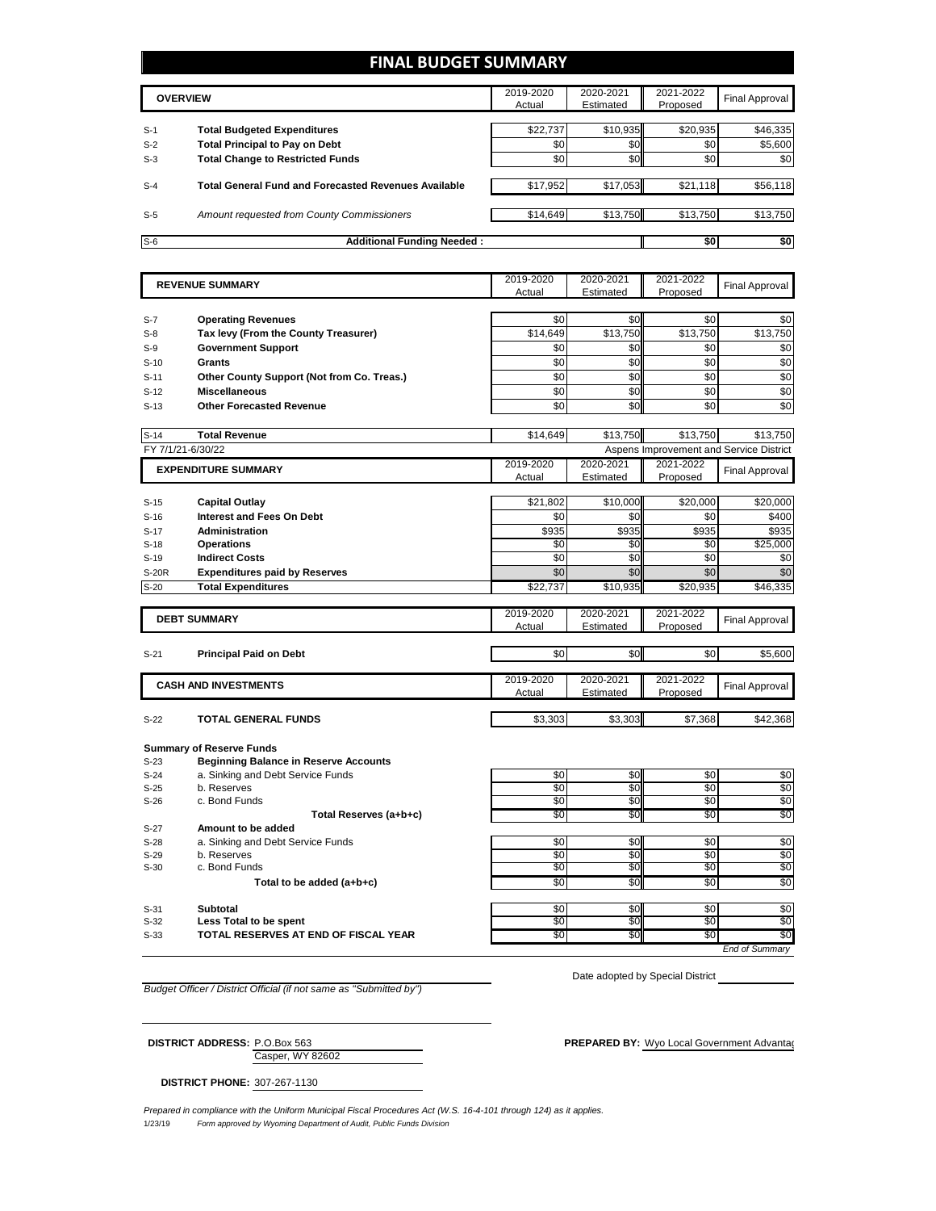### **FINAL BUDGET SUMMARY**

|       | <b>OVERVIEW</b>                                             | 2019-2020<br>Actual | 2020-2021<br>Estimated | 2021-2022<br>Proposed | Final Approval |
|-------|-------------------------------------------------------------|---------------------|------------------------|-----------------------|----------------|
|       |                                                             |                     |                        |                       |                |
| $S-1$ | <b>Total Budgeted Expenditures</b>                          | \$22.737            | \$10.935               | \$20,935              | \$46,335       |
| $S-2$ | <b>Total Principal to Pay on Debt</b>                       | \$0                 | \$0                    | \$0                   | \$5,600        |
| $S-3$ | <b>Total Change to Restricted Funds</b>                     | \$0                 | \$0                    | \$0                   | \$0            |
|       |                                                             |                     |                        |                       |                |
| $S-4$ | <b>Total General Fund and Forecasted Revenues Available</b> | \$17,952            | \$17,053               | \$21,118              | \$56,118       |
|       |                                                             |                     |                        |                       |                |
| $S-5$ | Amount requested from County Commissioners                  | \$14,649            | \$13,750               | \$13,750              | \$13,750       |
|       |                                                             |                     |                        |                       |                |
| $S-6$ | <b>Additional Funding Needed:</b>                           |                     |                        | \$0                   | \$0            |

| <b>REVENUE SUMMARY</b> |                                                                                 | 2019-2020    | 2020-2021       | 2021-2022       | <b>Final Approval</b>                   |
|------------------------|---------------------------------------------------------------------------------|--------------|-----------------|-----------------|-----------------------------------------|
|                        |                                                                                 | Actual       | Estimated       | Proposed        |                                         |
|                        |                                                                                 |              |                 |                 |                                         |
| $S-7$                  | <b>Operating Revenues</b>                                                       | \$0          | \$0             | \$0             | \$0                                     |
| $S-8$                  | Tax levy (From the County Treasurer)                                            | \$14,649     | \$13,750        | \$13.750        | \$13,750                                |
| $S-9$                  | <b>Government Support</b>                                                       | \$0          | \$0             | \$0             | \$0                                     |
| $S-10$                 | Grants                                                                          | \$0          | \$0             | \$0             | \$0                                     |
| $S-11$                 | Other County Support (Not from Co. Treas.)                                      | \$0          | \$0             | $\overline{50}$ | \$0                                     |
| $S-12$                 | <b>Miscellaneous</b>                                                            | \$0          | \$0             | \$0             | \$0                                     |
| $S-13$                 | <b>Other Forecasted Revenue</b>                                                 | \$0          | \$0             | \$0             | $\overline{50}$                         |
|                        |                                                                                 |              |                 |                 |                                         |
| $S-14$                 | <b>Total Revenue</b>                                                            | \$14,649     | \$13,750        | \$13,750        | \$13,750                                |
| FY 7/1/21-6/30/22      |                                                                                 |              |                 |                 | Aspens Improvement and Service District |
|                        | <b>EXPENDITURE SUMMARY</b>                                                      | 2019-2020    | 2020-2021       | 2021-2022       | <b>Final Approval</b>                   |
|                        |                                                                                 | Actual       | Estimated       | Proposed        |                                         |
|                        |                                                                                 | \$21,802     | \$10,000        |                 | \$20,000                                |
| $S-15$                 | <b>Capital Outlay</b><br><b>Interest and Fees On Debt</b>                       | \$0          | \$0             | \$20,000<br>\$0 | \$400                                   |
| $S-16$                 |                                                                                 |              |                 |                 |                                         |
| $S-17$                 | Administration                                                                  | \$935<br>\$0 | \$935<br>\$0    | \$935<br>\$0    | \$935                                   |
| $S-18$                 | <b>Operations</b><br><b>Indirect Costs</b>                                      | \$0          | $\overline{50}$ | $\overline{30}$ | \$25,000<br>\$0                         |
| $S-19$                 |                                                                                 | \$0          | \$0             | \$0             | \$0                                     |
| <b>S-20R</b>           | <b>Expenditures paid by Reserves</b>                                            |              |                 |                 |                                         |
| $S-20$                 | <b>Total Expenditures</b>                                                       | \$22,737     | \$10,935        | \$20,935        | \$46,335                                |
|                        |                                                                                 | 2019-2020    | 2020-2021       | 2021-2022       |                                         |
|                        | <b>DEBT SUMMARY</b>                                                             | Actual       | Estimated       | Proposed        | <b>Final Approval</b>                   |
|                        |                                                                                 |              |                 |                 |                                         |
| $S-21$                 | <b>Principal Paid on Debt</b>                                                   | \$0          | \$0             | \$0             | \$5,600                                 |
|                        |                                                                                 |              |                 |                 |                                         |
|                        | <b>CASH AND INVESTMENTS</b>                                                     | 2019-2020    | 2020-2021       | 2021-2022       | <b>Final Approval</b>                   |
|                        |                                                                                 | Actual       | Estimated       | Proposed        |                                         |
|                        | <b>TOTAL GENERAL FUNDS</b>                                                      |              | \$3,303         | \$7,368         | \$42,368                                |
| $S-22$                 |                                                                                 | \$3,303      |                 |                 |                                         |
|                        |                                                                                 |              |                 |                 |                                         |
| $S-23$                 | <b>Summary of Reserve Funds</b><br><b>Beginning Balance in Reserve Accounts</b> |              |                 |                 |                                         |
| $S-24$                 | a. Sinking and Debt Service Funds                                               | \$0          | \$0             | \$0             | \$0                                     |
| $S-25$                 | b. Reserves                                                                     | \$0          | \$0             | \$0             | \$0                                     |
| $S-26$                 | c. Bond Funds                                                                   | \$0          | \$0             | \$0             | \$0                                     |
|                        | Total Reserves (a+b+c)                                                          | \$0          | \$0             | \$0             | \$0                                     |
| 0.07                   | American the local dealership of                                                |              |                 |                 |                                         |

S-27 **Amount to be added**  S-28 a. Sinking and Debt Service Funds \$0 \$0 \$0 \$0 S-29 b. Reserves \$0 \$0 \$0 \$0 S-30 c. Bond Funds<br> **Solution Solution Solution Solution Solution Solution Solution Solution Solution Solution Solution Solution Solution Solution Solution Solution Solution Solution Solution Solution Solution Solution Sol** 

Total to be added (a+b+c)

S-31 **Subtotal** \$0 \$0 \$0 S-32 **Less Total to be spent** \$0 \$0 \$0 \$0 S-33 **TOTAL RESERVES AT END OF FISCAL YEAR** 

*End of Summary*

*Budget Officer / District Official (if not same as "Submitted by")*

Date adopted by Special District

Casper, WY 82602 **DISTRICT ADDRESS:** P.O.Box 563 **PREPARED BY:** Wyo Local Government Advantagent Advantage Consulting Consulting Consulting Consulting Consulting Consulting Consulting Consulting Consulting Consulting Consulting Consulting

**DISTRICT PHONE:** 307-267-1130

1/23/19 *Form approved by Wyoming Department of Audit, Public Funds Division Prepared in compliance with the Uniform Municipal Fiscal Procedures Act (W.S. 16-4-101 through 124) as it applies.*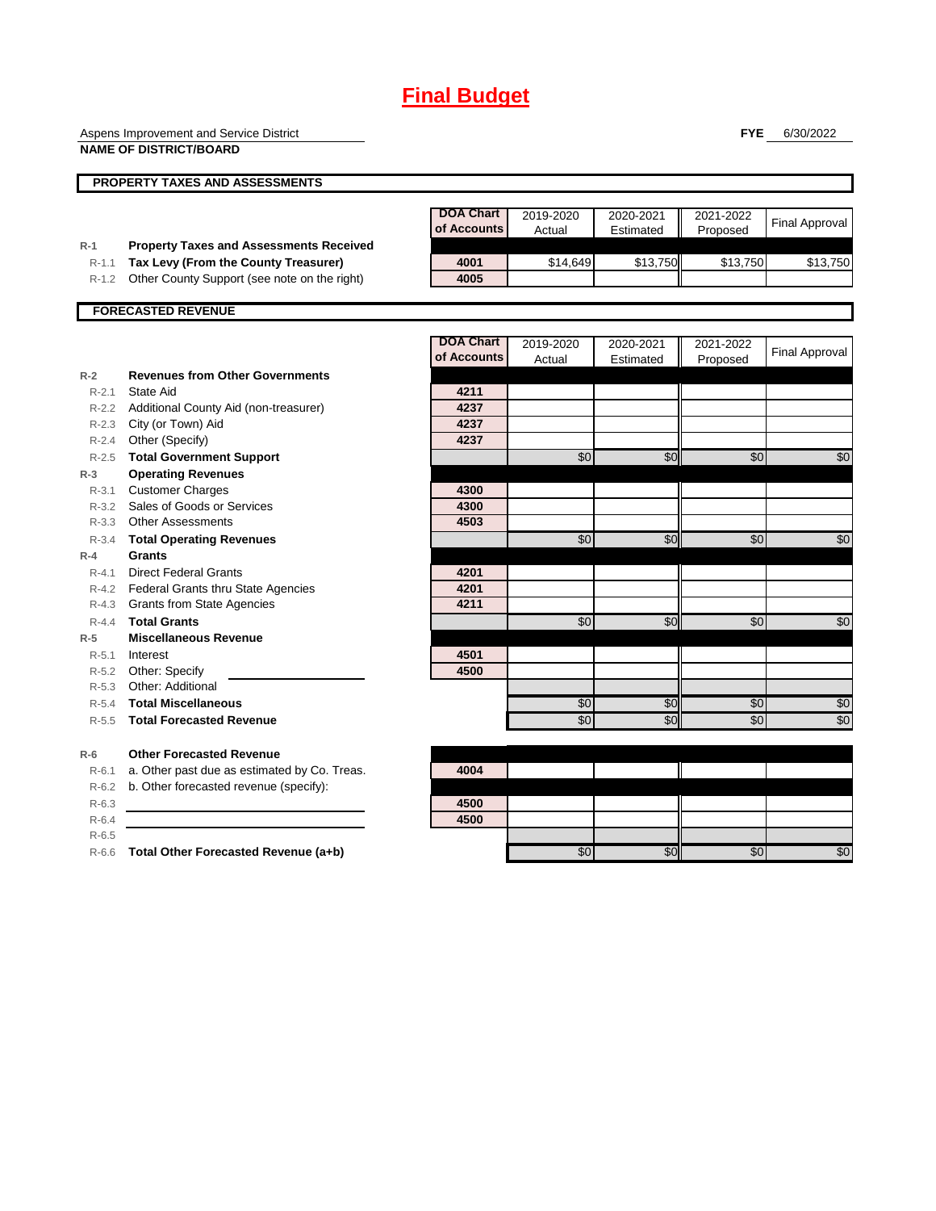Aspens Improvement and Service District

**FYE** 6/30/2022

|           | <b>NAME OF DISTRICT/BOARD</b>                  |                                 |                     |                        |                       |                       |
|-----------|------------------------------------------------|---------------------------------|---------------------|------------------------|-----------------------|-----------------------|
|           | <b>PROPERTY TAXES AND ASSESSMENTS</b>          |                                 |                     |                        |                       |                       |
|           |                                                | <b>DOA Chart</b><br>of Accounts | 2019-2020<br>Actual | 2020-2021<br>Estimated | 2021-2022<br>Proposed | <b>Final Approval</b> |
| $R-1$     | <b>Property Taxes and Assessments Received</b> |                                 |                     |                        |                       |                       |
| $R-1.1$   | Tax Levy (From the County Treasurer)           | 4001                            | \$14.649            | \$13,750               | \$13,750              | \$13,750              |
| $R-1.2$   | Other County Support (see note on the right)   | 4005                            |                     |                        |                       |                       |
|           | <b>FORECASTED REVENUE</b>                      |                                 |                     |                        |                       |                       |
|           |                                                | <b>DOA Chart</b>                | 2019-2020           | 2020-2021              | 2021-2022             |                       |
|           |                                                | of Accounts                     | Actual              | Estimated              | Proposed              | <b>Final Approval</b> |
| $R-2$     | <b>Revenues from Other Governments</b>         |                                 |                     |                        |                       |                       |
| $R - 2.1$ | <b>State Aid</b>                               | 4211                            |                     |                        |                       |                       |
| $R - 2.2$ | Additional County Aid (non-treasurer)          | 4237                            |                     |                        |                       |                       |
|           | R-2.3 City (or Town) Aid                       | 4237                            |                     |                        |                       |                       |
| $R - 2.4$ | Other (Specify)                                | 4237                            |                     |                        |                       |                       |
| $R - 2.5$ | <b>Total Government Support</b>                |                                 | \$0                 | \$0                    | \$0                   | \$0                   |
| $R-3$     | <b>Operating Revenues</b>                      |                                 |                     |                        |                       |                       |
| $R - 3.1$ | <b>Customer Charges</b>                        | 4300                            |                     |                        |                       |                       |
| $R-3.2$   | Sales of Goods or Services                     | 4300                            |                     |                        |                       |                       |
| $R - 3.3$ | <b>Other Assessments</b>                       | 4503                            |                     |                        |                       |                       |
| $R - 3.4$ | <b>Total Operating Revenues</b>                |                                 | $\overline{50}$     | \$0                    | \$0                   | \$0                   |
| $R-4$     | Grants                                         |                                 |                     |                        |                       |                       |
| $R - 4.1$ | <b>Direct Federal Grants</b>                   | 4201                            |                     |                        |                       |                       |
| R-4.2     | <b>Federal Grants thru State Agencies</b>      | 4201                            |                     |                        |                       |                       |
| $R - 4.3$ | <b>Grants from State Agencies</b>              | 4211                            |                     |                        |                       |                       |
| $R - 4.4$ | <b>Total Grants</b>                            |                                 | \$0                 | \$0                    | \$0                   | \$0                   |
| $R-5$     | <b>Miscellaneous Revenue</b>                   |                                 |                     |                        |                       |                       |
| $R - 5.1$ | Interest                                       | 4501                            |                     |                        |                       |                       |
| $R - 5.2$ | Other: Specify                                 | 4500                            |                     |                        |                       |                       |
| $R - 5.3$ | Other: Additional                              |                                 |                     |                        |                       |                       |
| $R - 5.4$ | <b>Total Miscellaneous</b>                     |                                 | \$0                 | \$0                    | \$0                   | \$0                   |
| $R - 5.5$ | <b>Total Forecasted Revenue</b>                |                                 | \$0                 | \$0                    | \$0                   | \$0                   |
| $R-6$     | <b>Other Forecasted Revenue</b>                |                                 |                     |                        |                       |                       |
| $R-6.1$   | a. Other past due as estimated by Co. Treas.   | 4004                            |                     |                        |                       |                       |
| $R-6.2$   | b. Other forecasted revenue (specify):         |                                 |                     |                        |                       |                       |
| $R-6.3$   |                                                | 4500                            |                     |                        |                       |                       |
| $R-6.4$   |                                                | 4500                            |                     |                        |                       |                       |
| $R-6.5$   |                                                |                                 |                     |                        |                       |                       |

R-6.6 **Total Other Forecasted Revenue (a+b)** \$0 \$0 \$0 \$0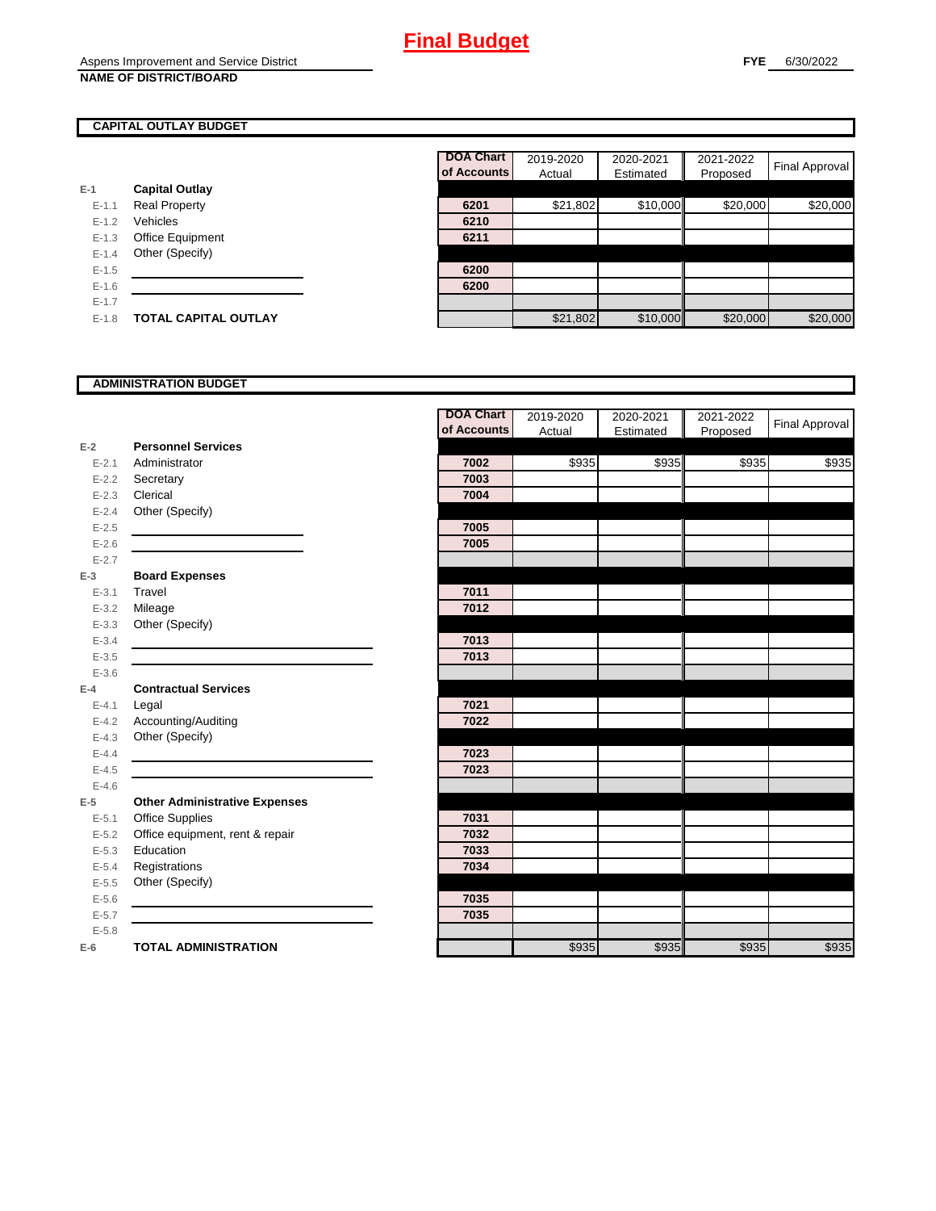### **CAPITAL OUTLAY BUDGET**

|           |                             | ui Auuu |
|-----------|-----------------------------|---------|
| E-1       | <b>Capital Outlay</b>       |         |
| $E - 1.1$ | <b>Real Property</b>        | 6201    |
| $E - 1.2$ | Vehicles                    | 6210    |
| $E-1.3$   | <b>Office Equipment</b>     | 6211    |
| $E - 1.4$ | Other (Specify)             |         |
| $E - 1.5$ |                             | 6200    |
| $E-1.6$   |                             | 6200    |
| $E - 1.7$ |                             |         |
| $E-1.8$   | <b>TOTAL CAPITAL OUTLAY</b> |         |

|           |                             | <b>DOA Chart</b> | 2019-2020 | 2020-2021 | 2021-2022 |                |
|-----------|-----------------------------|------------------|-----------|-----------|-----------|----------------|
|           |                             | of Accounts      | Actual    | Estimated | Proposed  | Final Approval |
|           | <b>Capital Outlay</b>       |                  |           |           |           |                |
| $E - 1.1$ | <b>Real Property</b>        | 6201             | \$21,802  | \$10,000  | \$20,000  | \$20,000       |
| $E-1.2$   | Vehicles                    | 6210             |           |           |           |                |
| $E - 1.3$ | Office Equipment            | 6211             |           |           |           |                |
| $E-1.4$   | Other (Specify)             |                  |           |           |           |                |
| $E-1.5$   |                             | 6200             |           |           |           |                |
| $E - 1.6$ |                             | 6200             |           |           |           |                |
| $E - 1.7$ |                             |                  |           |           |           |                |
| $E-1.8$   | <b>TOTAL CAPITAL OUTLAY</b> |                  | \$21,802  | \$10,000  | \$20,000  | \$20,000       |

#### **ADMINISTRATION BUDGET**

|           |                                      | <b>DOA Chart</b> | 2019-2020 | 2020-2021 | 2021-2022 | <b>Final Approval</b> |
|-----------|--------------------------------------|------------------|-----------|-----------|-----------|-----------------------|
|           |                                      | of Accounts      | Actual    | Estimated | Proposed  |                       |
| $E-2$     | <b>Personnel Services</b>            |                  |           |           |           |                       |
| $E - 2.1$ | Administrator                        | 7002             | \$935     | \$935     | \$935     | \$935                 |
| $E - 2.2$ | Secretary                            | 7003             |           |           |           |                       |
| $E - 2.3$ | Clerical                             | 7004             |           |           |           |                       |
| $E - 2.4$ | Other (Specify)                      |                  |           |           |           |                       |
| $E - 2.5$ |                                      | 7005             |           |           |           |                       |
| $E-2.6$   |                                      | 7005             |           |           |           |                       |
| $E - 2.7$ |                                      |                  |           |           |           |                       |
| $E-3$     | <b>Board Expenses</b>                |                  |           |           |           |                       |
| $E - 3.1$ | Travel                               | 7011             |           |           |           |                       |
| $E - 3.2$ | Mileage                              | 7012             |           |           |           |                       |
| $E - 3.3$ | Other (Specify)                      |                  |           |           |           |                       |
| $E - 3.4$ |                                      | 7013             |           |           |           |                       |
| $E - 3.5$ |                                      | 7013             |           |           |           |                       |
| $E - 3.6$ |                                      |                  |           |           |           |                       |
| $E-4$     | <b>Contractual Services</b>          |                  |           |           |           |                       |
| $E - 4.1$ | Legal                                | 7021             |           |           |           |                       |
| $E-4.2$   | Accounting/Auditing                  | 7022             |           |           |           |                       |
| $E - 4.3$ | Other (Specify)                      |                  |           |           |           |                       |
| $E-4.4$   |                                      | 7023             |           |           |           |                       |
| $E-4.5$   |                                      | 7023             |           |           |           |                       |
| $E - 4.6$ |                                      |                  |           |           |           |                       |
| $E-5$     | <b>Other Administrative Expenses</b> |                  |           |           |           |                       |
| $E - 5.1$ | <b>Office Supplies</b>               | 7031             |           |           |           |                       |
| $E - 5.2$ | Office equipment, rent & repair      | 7032             |           |           |           |                       |
| $E - 5.3$ | Education                            | 7033             |           |           |           |                       |
| $E - 5.4$ | Registrations                        | 7034             |           |           |           |                       |
| $E-5.5$   | Other (Specify)                      |                  |           |           |           |                       |
| $E-5.6$   |                                      | 7035             |           |           |           |                       |
| $E - 5.7$ |                                      | 7035             |           |           |           |                       |
| $E - 5.8$ |                                      |                  |           |           |           |                       |
| $E-6$     | <b>TOTAL ADMINISTRATION</b>          |                  | \$935     | \$935     | \$935     | \$935                 |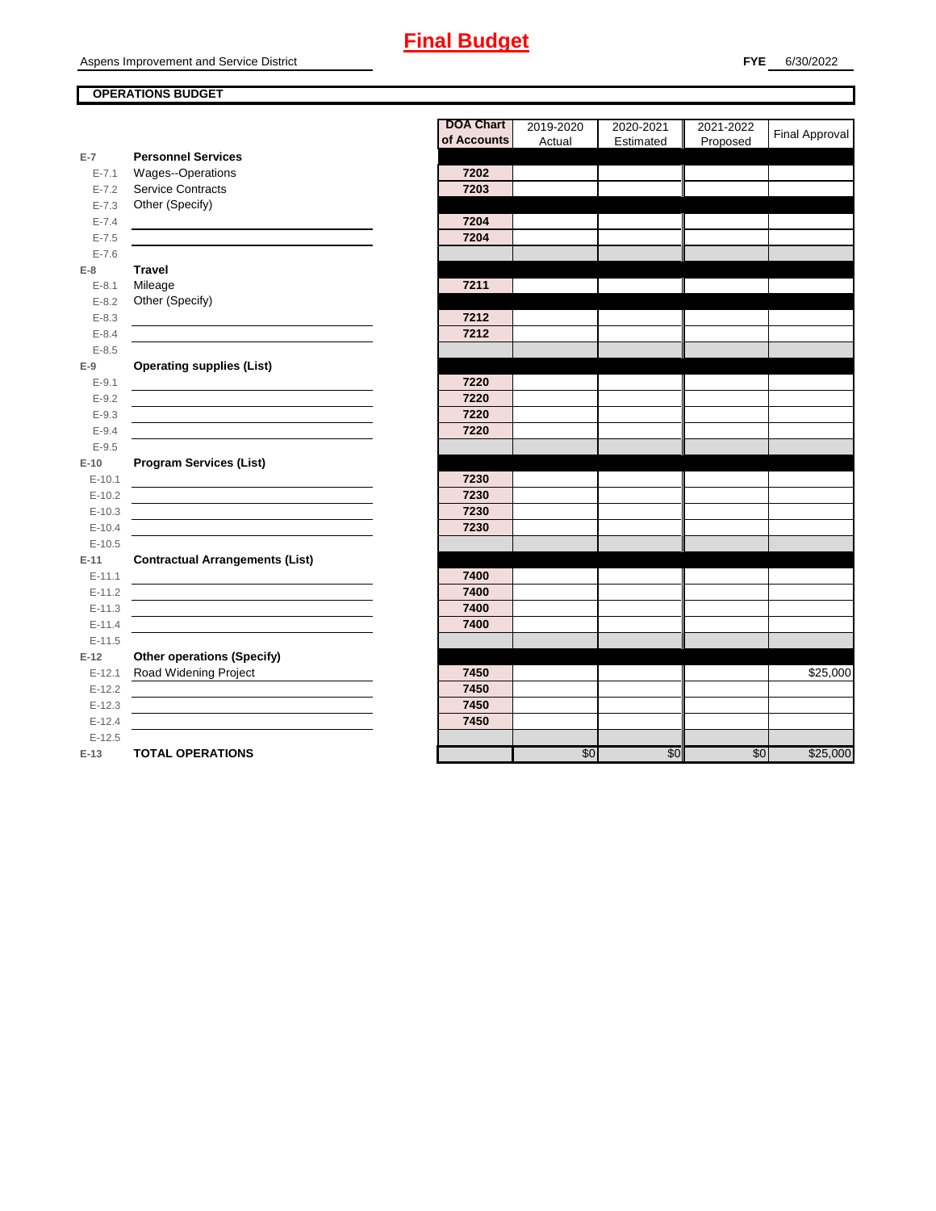### **OPERATIONS BUDGET**

|                    |                                        | ,,,,     |
|--------------------|----------------------------------------|----------|
|                    |                                        | of Accou |
| $E-7$              | <b>Personnel Services</b>              |          |
| $E - 7.1$          | <b>Wages--Operations</b>               | 7202     |
| $E - 7.2$          | Service Contracts                      | 7203     |
| $E - 7.3$          | Other (Specify)                        |          |
| $E - 7.4$          |                                        | 7204     |
| $E - 7.5$          |                                        | 7204     |
| $E - 7.6$          |                                        |          |
| $E-8$              | <b>Travel</b>                          |          |
| $E - 8.1$          | Mileage                                | 7211     |
| $E - 8.2$          | Other (Specify)                        |          |
| $E - 8.3$          |                                        | 7212     |
| $E - 8.4$          |                                        | 7212     |
| $E - 8.5$          |                                        |          |
| $E-9$              | <b>Operating supplies (List)</b>       |          |
| $E-9.1$            |                                        | 7220     |
| $E-9.2$            |                                        | 7220     |
| $E - 9.3$          |                                        | 7220     |
| $E - 9.4$          |                                        | 7220     |
| $E - 9.5$          |                                        |          |
| $E-10$             | <b>Program Services (List)</b>         |          |
| $E - 10.1$         |                                        | 7230     |
| $E-10.2$           |                                        | 7230     |
| $E-10.3$           |                                        | 7230     |
| $E-10.4$           |                                        | 7230     |
| $E-10.5$           |                                        |          |
| $E-11$             | <b>Contractual Arrangements (List)</b> |          |
| $E - 11.1$         |                                        | 7400     |
| $E-11.2$           |                                        | 7400     |
| $E-11.3$           |                                        | 7400     |
| $E-11.4$           |                                        | 7400     |
| $E-11.5$<br>$E-12$ | <b>Other operations (Specify)</b>      |          |
| $E-12.1$           | Road Widening Project                  | 7450     |
| $E-12.2$           |                                        | 7450     |
| $E-12.3$           |                                        | 7450     |
| $E-12.4$           |                                        | 7450     |
| $E-12.5$           |                                        |          |
| E-13               | <b>TOTAL OPERATIONS</b>                |          |
|                    |                                        |          |

|           |                                        | <b>DOA Chart</b><br>of Accounts | 2019-2020<br>Actual | 2020-2021<br>Estimated | 2021-2022<br>Proposed | Final Approval |
|-----------|----------------------------------------|---------------------------------|---------------------|------------------------|-----------------------|----------------|
| $E-7$     | <b>Personnel Services</b>              |                                 |                     |                        |                       |                |
| $E - 7.1$ | Wages--Operations                      | 7202                            |                     |                        |                       |                |
| $E - 7.2$ | <b>Service Contracts</b>               | 7203                            |                     |                        |                       |                |
| $E - 7.3$ | Other (Specify)                        |                                 |                     |                        |                       |                |
| $E - 7.4$ |                                        | 7204                            |                     |                        |                       |                |
| $E - 7.5$ |                                        | 7204                            |                     |                        |                       |                |
| $E - 7.6$ |                                        |                                 |                     |                        |                       |                |
| E-8       | <b>Travel</b>                          |                                 |                     |                        |                       |                |
| $E - 8.1$ | Mileage                                | 7211                            |                     |                        |                       |                |
| $E-8.2$   | Other (Specify)                        |                                 |                     |                        |                       |                |
| $E - 8.3$ |                                        | 7212                            |                     |                        |                       |                |
| $E - 8.4$ |                                        | 7212                            |                     |                        |                       |                |
| $E - 8.5$ |                                        |                                 |                     |                        |                       |                |
| E-9       | <b>Operating supplies (List)</b>       |                                 |                     |                        |                       |                |
| $E-9.1$   |                                        | 7220                            |                     |                        |                       |                |
| $E-9.2$   |                                        | 7220                            |                     |                        |                       |                |
| $E-9.3$   |                                        | 7220                            |                     |                        |                       |                |
| $E - 9.4$ |                                        | 7220                            |                     |                        |                       |                |
| $E-9.5$   |                                        |                                 |                     |                        |                       |                |
| E-10      | <b>Program Services (List)</b>         |                                 |                     |                        |                       |                |
| $E-10.1$  |                                        | 7230                            |                     |                        |                       |                |
| $E-10.2$  |                                        | 7230                            |                     |                        |                       |                |
| $E-10.3$  |                                        | 7230                            |                     |                        |                       |                |
| $E-10.4$  |                                        | 7230                            |                     |                        |                       |                |
| $E-10.5$  |                                        |                                 |                     |                        |                       |                |
| E-11      | <b>Contractual Arrangements (List)</b> |                                 |                     |                        |                       |                |
| $E-11.1$  |                                        | 7400                            |                     |                        |                       |                |
| $E-11.2$  |                                        | 7400                            |                     |                        |                       |                |
| $E-11.3$  |                                        | 7400                            |                     |                        |                       |                |
| $E-11.4$  |                                        | 7400                            |                     |                        |                       |                |
| $E-11.5$  |                                        |                                 |                     |                        |                       |                |
| E-12      | <b>Other operations (Specify)</b>      |                                 |                     |                        |                       |                |
| $E-12.1$  | Road Widening Project                  | 7450                            |                     |                        |                       | \$25,000       |
| $E-12.2$  |                                        | 7450                            |                     |                        |                       |                |
| $E-12.3$  |                                        | 7450                            |                     |                        |                       |                |
| $E-12.4$  |                                        | 7450                            |                     |                        |                       |                |
| $E-12.5$  |                                        |                                 |                     |                        |                       |                |
| E-13      | <b>TOTAL OPERATIONS</b>                |                                 | \$0                 | \$0                    | \$0                   | \$25,000       |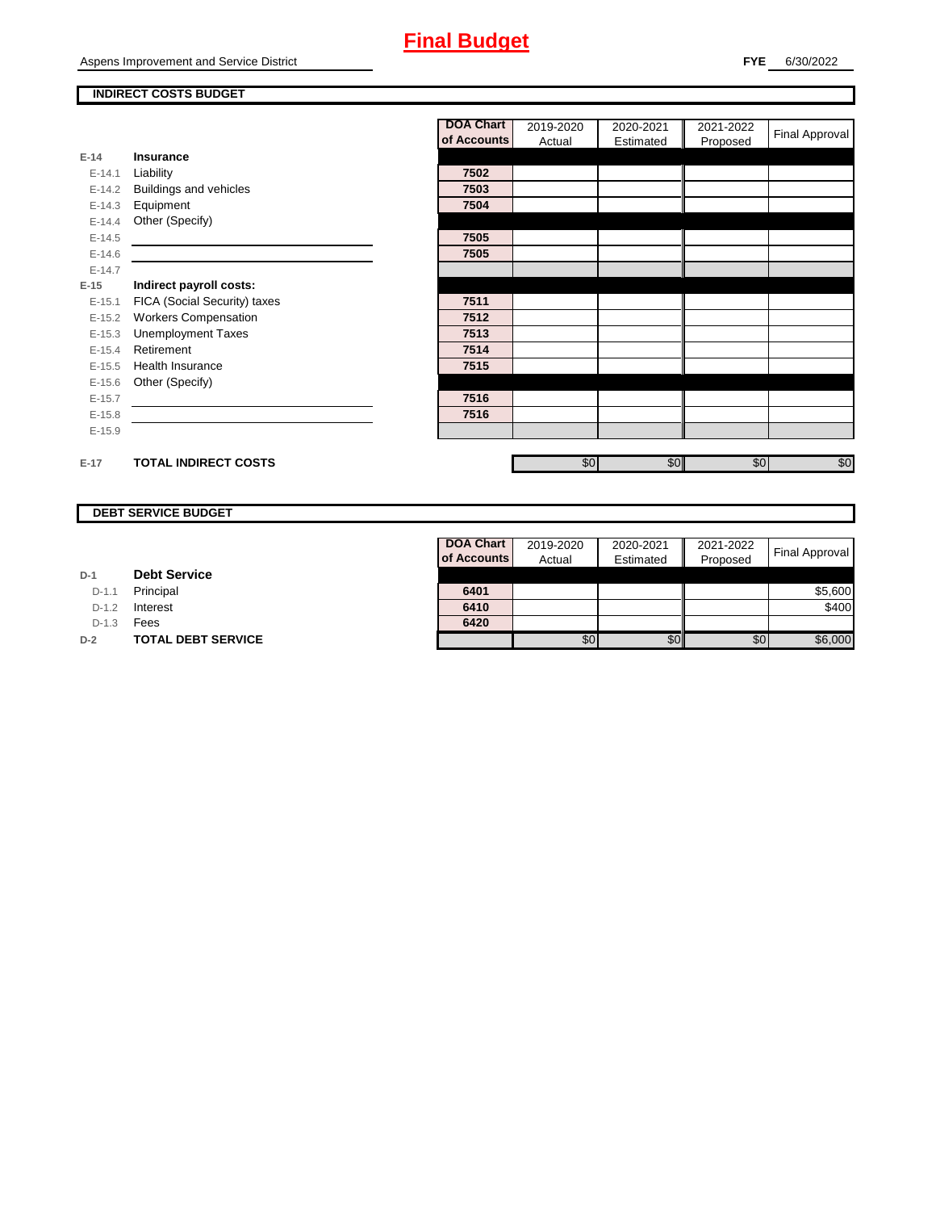### **INDIRECT COSTS BUDGET**

|          |                              | <b>DOA Chart</b> | 2019-2020 | 2020-2021 | 2021-2022 | Final Approval |
|----------|------------------------------|------------------|-----------|-----------|-----------|----------------|
|          |                              | of Accounts      | Actual    | Estimated | Proposed  |                |
| $E-14$   | Insurance                    |                  |           |           |           |                |
| $E-14.1$ | Liability                    | 7502             |           |           |           |                |
| $E-14.2$ | Buildings and vehicles       | 7503             |           |           |           |                |
| $E-14.3$ | Equipment                    | 7504             |           |           |           |                |
| $E-14.4$ | Other (Specify)              |                  |           |           |           |                |
| $E-14.5$ |                              | 7505             |           |           |           |                |
| $E-14.6$ |                              | 7505             |           |           |           |                |
| $E-14.7$ |                              |                  |           |           |           |                |
| $E-15$   | Indirect payroll costs:      |                  |           |           |           |                |
| $E-15.1$ | FICA (Social Security) taxes | 7511             |           |           |           |                |
| $E-15.2$ | <b>Workers Compensation</b>  | 7512             |           |           |           |                |
| $E-15.3$ | <b>Unemployment Taxes</b>    | 7513             |           |           |           |                |
| $E-15.4$ | Retirement                   | 7514             |           |           |           |                |
| $E-15.5$ | <b>Health Insurance</b>      | 7515             |           |           |           |                |
| $E-15.6$ | Other (Specify)              |                  |           |           |           |                |
| $E-15.7$ |                              | 7516             |           |           |           |                |
| $E-15.8$ |                              | 7516             |           |           |           |                |
| $E-15.9$ |                              |                  |           |           |           |                |
|          |                              |                  |           |           |           |                |
| $E-17$   | <b>TOTAL INDIRECT COSTS</b>  |                  | \$0       | \$0       | \$0       | \$0            |

#### **DEBT SERVICE BUDGET**

| D-1 | <b>Debt Service</b> |  |
|-----|---------------------|--|
|     |                     |  |

D-1.1 **Principal** 

D-1.2 **Interest** 

D-1.3 **Fees** 

**D-2 TOTAL DEBT SERVICE** 

| DOA Chart   | 2019-2020 | 2020-2021 | 2021-2022 |                |
|-------------|-----------|-----------|-----------|----------------|
| of Accounts | Actual    | Estimated | Proposed  | Final Approval |
|             |           |           |           |                |
| 6401        |           |           |           | \$5,600        |
| 6410        |           |           |           | \$400          |
| 6420        |           |           |           |                |
|             |           |           | \$0       | \$6,000        |